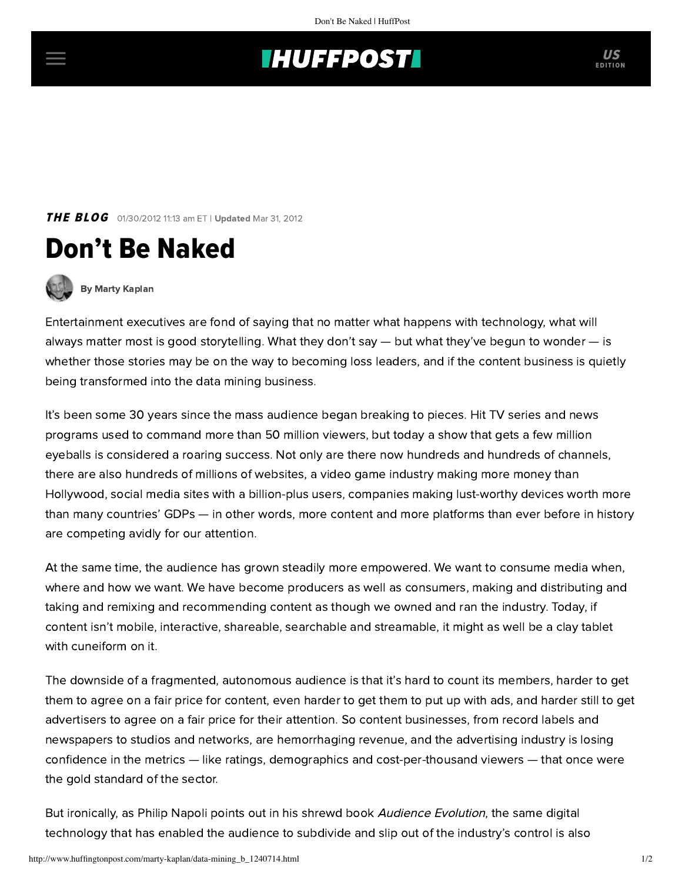## **INUFFPOSTI** US

**THE BLOG** 01/30/2012 11:13 am ET | Updated Mar 31, 2012





[By Marty Kaplan](http://www.huffingtonpost.com/author/marty-kaplan)

Entertainment executives are fond of saying that no matter what happens with technology, what will always matter most is good storytelling. What they don't say — but what they've begun to wonder — is whether those stories may be on the way to becoming loss leaders, and if the content business is quietly being transformed into the data mining business.

It's been some 30 years since the mass audience began breaking to pieces. Hit TV series and news programs used to command more than 50 million viewers, but today a show that gets a few million eyeballs is considered a roaring success. Not only are there now hundreds and hundreds of channels, there are also hundreds of millions of websites, a video game industry making more money than Hollywood, social media sites with a billion-plus users, companies making lust-worthy devices worth more than many countries' GDPs — in other words, more content and more platforms than ever before in history are competing avidly for our attention.

At the same time, the audience has grown steadily more empowered. We want to consume media when, where and how we want. We have become producers as well as consumers, making and distributing and taking and remixing and recommending content as though we owned and ran the industry. Today, if content isn't mobile, interactive, shareable, searchable and streamable, it might as well be a clay tablet with cuneiform on it.

The downside of a fragmented, autonomous audience is that it's hard to count its members, harder to get them to agree on a fair price for content, even harder to get them to put up with ads, and harder still to get advertisers to agree on a fair price for their attention. So content businesses, from record labels and newspapers to studios and networks, are hemorrhaging revenue, and the advertising industry is losing confidence in the metrics — like ratings, demographics and cost-per-thousand viewers — that once were the gold standard of the sector.

But ironically, as Philip Napoli points out in his shrewd book [Audience Evolution](http://audienceevolution.wordpress.com/), the same digital technology that has enabled the audience to subdivide and slip out of the industry's control is also